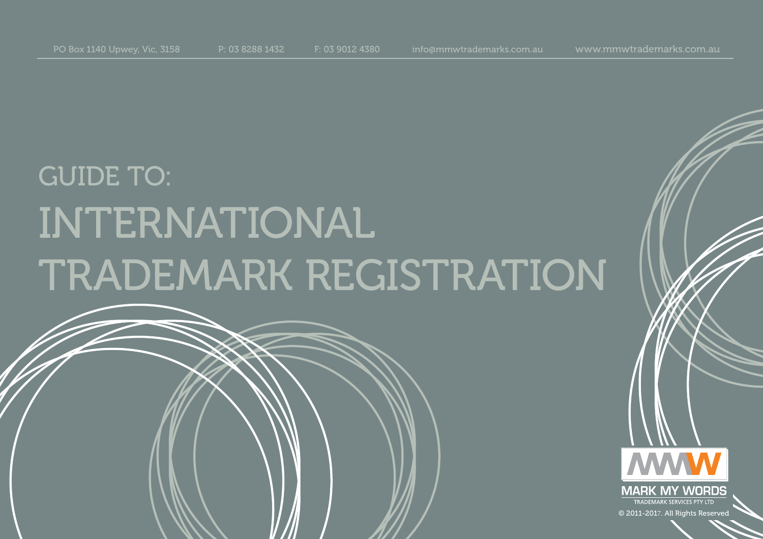# GUIDE TO: INTERNATIONAL TRADEMARK REGISTRATION

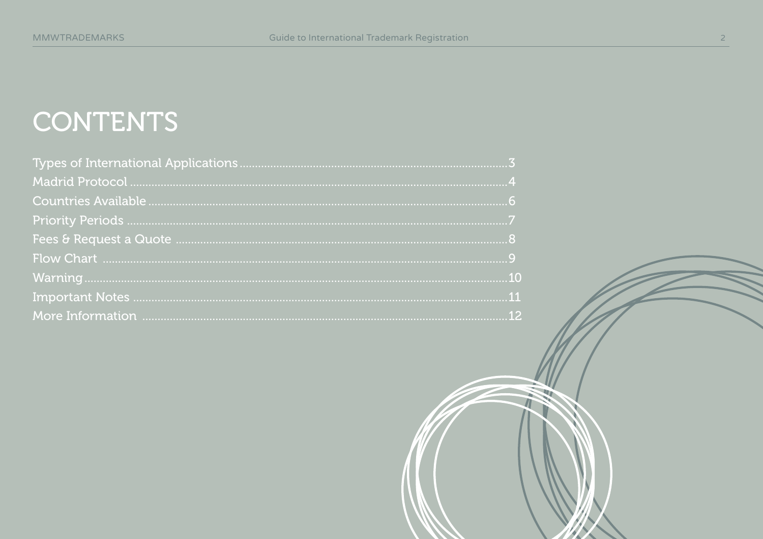## CONTENTS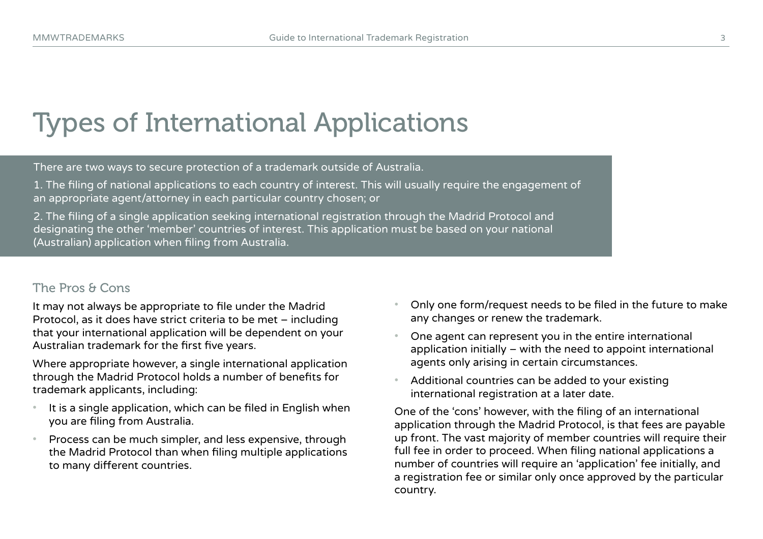### Types of International Applications

There are two ways to secure protection of a trademark outside of Australia.

1. The filing of national applications to each country of interest. This will usually require the engagement of an appropriate agent/attorney in each particular country chosen; or

2. The filing of a single application seeking international registration through the Madrid Protocol and designating the other 'member' countries of interest. This application must be based on your national (Australian) application when filing from Australia.

#### The Pros & Cons

It may not always be appropriate to file under the Madrid Protocol, as it does have strict criteria to be met – including that your international application will be dependent on your Australian trademark for the first five years.

Where appropriate however, a single international application through the Madrid Protocol holds a number of benefits for trademark applicants, including:

- It is a single application, which can be filed in English when you are filing from Australia.
- Process can be much simpler, and less expensive, through the Madrid Protocol than when filing multiple applications to many different countries.
- Only one form/request needs to be filed in the future to make any changes or renew the trademark.
- One agent can represent you in the entire international application initially – with the need to appoint international agents only arising in certain circumstances.
- Additional countries can be added to your existing international registration at a later date.

One of the 'cons' however, with the filing of an international application through the Madrid Protocol, is that fees are payable up front. The vast majority of member countries will require their full fee in order to proceed. When filing national applications a number of countries will require an 'application' fee initially, and a registration fee or similar only once approved by the particular country.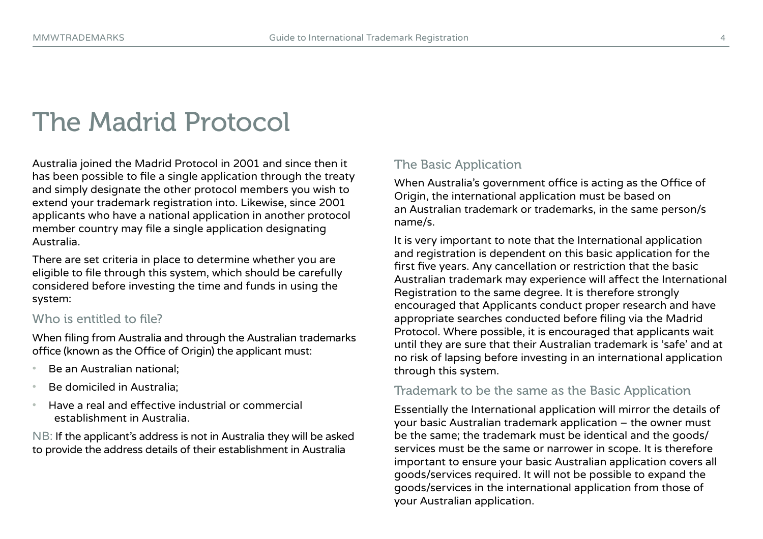### The Madrid Protocol

Australia joined the Madrid Protocol in 2001 and since then it has been possible to file a single application through the treaty and simply designate the other protocol members you wish to extend your trademark registration into. Likewise, since 2001 applicants who have a national application in another protocol member country may file a single application designating Australia.

There are set criteria in place to determine whether you are eligible to file through this system, which should be carefully considered before investing the time and funds in using the system:

#### Who is entitled to file?

When filing from Australia and through the Australian trademarks office (known as the Office of Origin) the applicant must:

- Be an Australian national;
- Be domiciled in Australia;
- Have a real and effective industrial or commercial establishment in Australia.

NB: If the applicant's address is not in Australia they will be asked to provide the address details of their establishment in Australia

#### The Basic Application

When Australia's government office is acting as the Office of Origin, the international application must be based on an Australian trademark or trademarks, in the same person/s name/s.

It is very important to note that the International application and registration is dependent on this basic application for the first five years. Any cancellation or restriction that the basic Australian trademark may experience will affect the International Registration to the same degree. It is therefore strongly encouraged that Applicants conduct proper research and have appropriate searches conducted before filing via the Madrid Protocol. Where possible, it is encouraged that applicants wait until they are sure that their Australian trademark is 'safe' and at no risk of lapsing before investing in an international application through this system.

#### Trademark to be the same as the Basic Application

Essentially the International application will mirror the details of your basic Australian trademark application – the owner must be the same; the trademark must be identical and the goods/ services must be the same or narrower in scope. It is therefore important to ensure your basic Australian application covers all goods/services required. It will not be possible to expand the goods/services in the international application from those of your Australian application.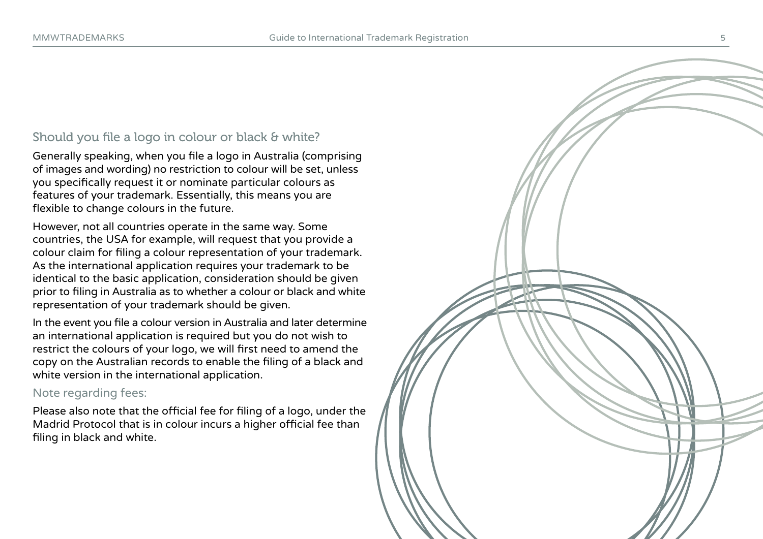#### Should you file a logo in colour or black & white?

Generally speaking, when you file a logo in Australia (comprising of images and wording) no restriction to colour will be set, unless you specifically request it or nominate particular colours as features of your trademark. Essentially, this means you are flexible to change colours in the future.

However, not all countries operate in the same way. Some countries, the USA for example, will request that you provide a colour claim for filing a colour representation of your trademark. As the international application requires your trademark to be identical to the basic application, consideration should be given prior to filing in Australia as to whether a colour or black and white representation of your trademark should be given.

In the event you file a colour version in Australia and later determine an international application is required but you do not wish to restrict the colours of your logo, we will first need to amend the copy on the Australian records to enable the filing of a black and white version in the international application.

#### Note regarding fees:

Please also note that the official fee for filing of a logo, under the Madrid Protocol that is in colour incurs a higher official fee than filing in black and white.

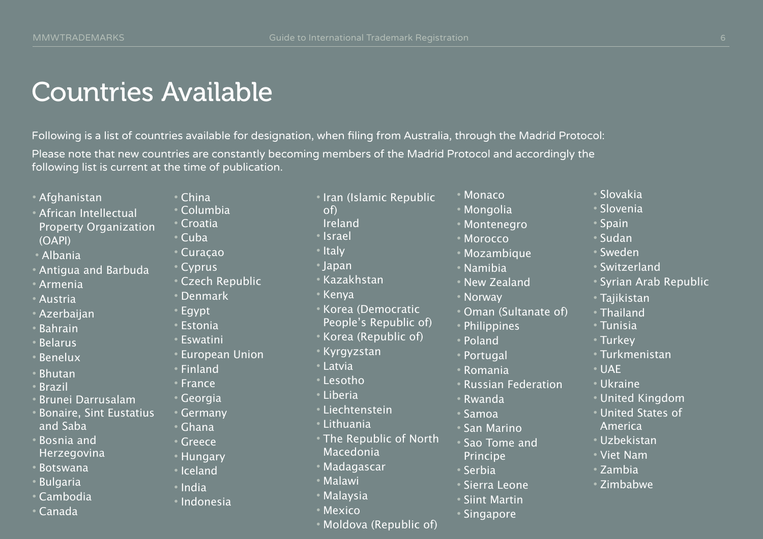### Countries Available

Following is a list of countries available for designation, when filing from Australia, through the Madrid Protocol: Please note that new countries are constantly becoming members of the Madrid Protocol and accordingly the following list is current at the time of publication.

- Afghanistan
- African Intellectual Property Organization (OAPI)
- Albania
- Antigua and Barbuda
- Armenia
- Austria
- Azerbaijan
- Bahrain
- Belarus
- Benelux
- Bhutan
- Brazil
- Brunei Darrusalam
- Bonaire, Sint Eustatius and Saba
- Bosnia and Herzegovina
- Botswana
- Bulgaria
- Cambodia
- Canada
- China
- Columbia • Croatia
	-
- Cuba
- Curaçao
- Cyprus
- Czech Republic
- Denmark
- Egypt
- **Estonia**
- **Eswatini**
- European Union
- Finland
- France
- Georgia
- Germany
- Ghana
- Greece
- Hungary
- Iceland
- India
- Indonesia
- Iran (Islamic Republic
- of)
	- Ireland
- Israel
- Italy
- Japan
- Kazakhstan
- Kenya
- Korea (Democratic
- People's Republic of)
- Korea (Republic of)
- Kyrgyzstan
- Latvia
- Lesotho
- Liberia
- Liechtenstein
- Lithuania
- The Republic of North Macedonia
- Madagascar
- Malawi
- Malaysia
- Mexico
- Moldova (Republic of)
- Monaco
- Mongolia
- Montenegro
- Morocco
- Mozambique
- Namibia
- New Zealand
- Norway
- Oman (Sultanate of)
- Philippines
- Poland
- Portugal
- Romania
- Russian Federation
- Rwanda
- Samoa
- San Marino
- Sao Tome and
- Principe
- Serbia
- Sierra Leone
- Siint Martin
- Singapore
- Slovakia
- Slovenia
- Spain
- Sudan
- Sweden
- Switzerland
- Syrian Arab Republic
- Tajikistan
- Thailand • Tunisia

• Turkey

• UAE • Ukraine

• Turkmenistan

• United Kingdom • United States of

America • Uzbekistan • Viet Nam • Zambia • Zimbabwe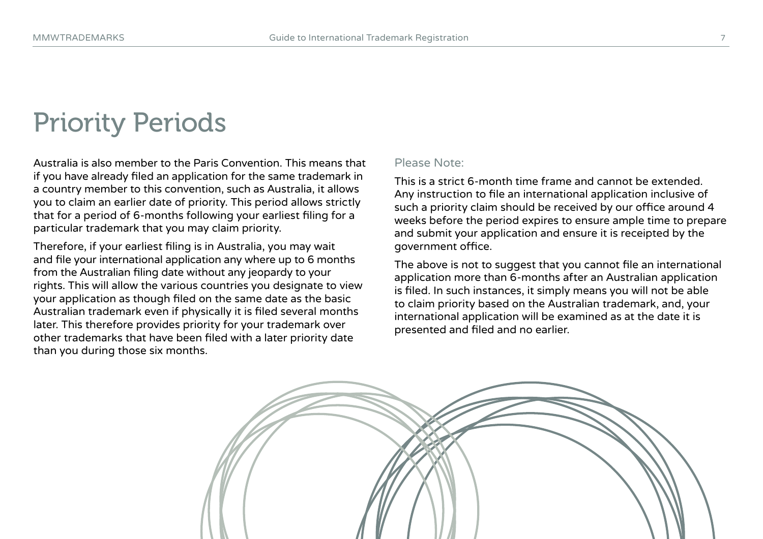### Priority Periods

Australia is also member to the Paris Convention. This means that if you have already filed an application for the same trademark in a country member to this convention, such as Australia, it allows you to claim an earlier date of priority. This period allows strictly that for a period of 6-months following your earliest filing for a particular trademark that you may claim priority.

Therefore, if your earliest filing is in Australia, you may wait and file your international application any where up to 6 months from the Australian filing date without any jeopardy to your rights. This will allow the various countries you designate to view your application as though filed on the same date as the basic Australian trademark even if physically it is filed several months later. This therefore provides priority for your trademark over other trademarks that have been filed with a later priority date than you during those six months.

#### Please Note:

This is a strict 6-month time frame and cannot be extended. Any instruction to file an international application inclusive of such a priority claim should be received by our office around 4 weeks before the period expires to ensure ample time to prepare and submit your application and ensure it is receipted by the government office.

The above is not to suggest that you cannot file an international application more than 6-months after an Australian application is filed. In such instances, it simply means you will not be able to claim priority based on the Australian trademark, and, your international application will be examined as at the date it is presented and filed and no earlier.

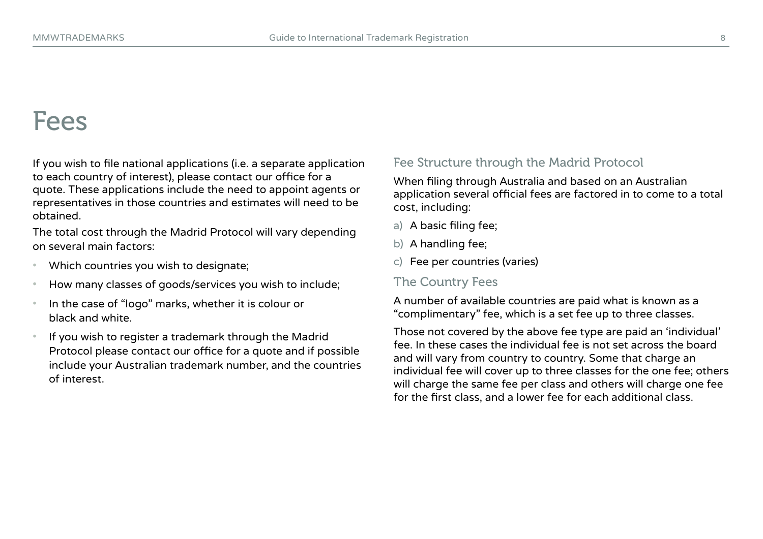### Fees

If you wish to file national applications (i.e. a separate application to each country of interest), please contact our office for a quote. These applications include the need to appoint agents or representatives in those countries and estimates will need to be obtained.

The total cost through the Madrid Protocol will vary depending on several main factors:

- Which countries you wish to designate;
- How many classes of goods/services you wish to include;
- In the case of "logo" marks, whether it is colour or black and white.
- If you wish to register a trademark through the Madrid Protocol please contact our office for a quote and if possible include your Australian trademark number, and the countries of interest.

#### Fee Structure through the Madrid Protocol

When filing through Australia and based on an Australian application several official fees are factored in to come to a total cost, including:

- a) A basic filing fee;
- b) A handling fee;
- c) Fee per countries (varies)

#### The Country Fees

A number of available countries are paid what is known as a "complimentary" fee, which is a set fee up to three classes.

Those not covered by the above fee type are paid an 'individual' fee. In these cases the individual fee is not set across the board and will vary from country to country. Some that charge an individual fee will cover up to three classes for the one fee; others will charge the same fee per class and others will charge one fee for the first class, and a lower fee for each additional class.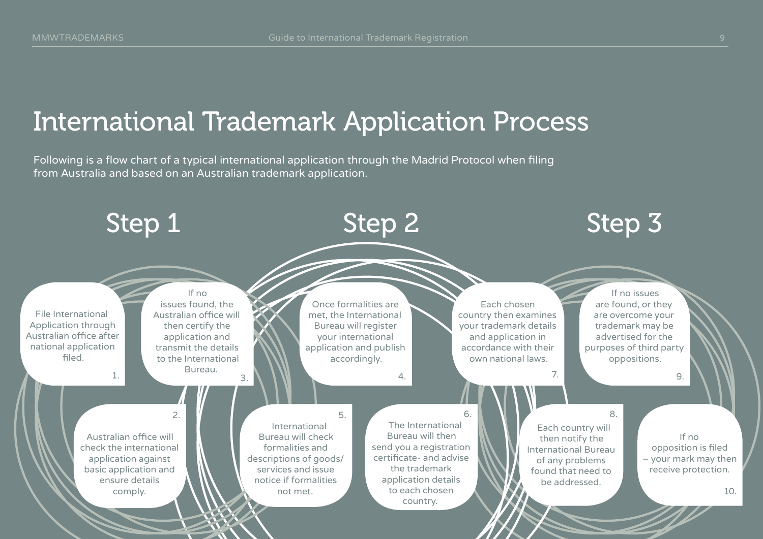### International Trademark Application Process

Following is a flow chart of a typical international application through the Madrid Protocol when filing from Australia and based on an Australian trademark application.

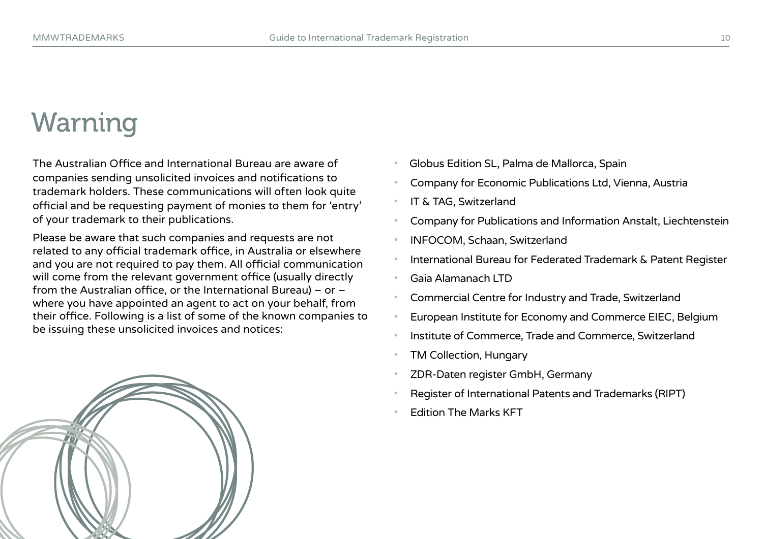### Warning

The Australian Office and International Bureau are aware of companies sending unsolicited invoices and notifications to trademark holders. These communications will often look quite official and be requesting payment of monies to them for 'entry' of your trademark to their publications.

Please be aware that such companies and requests are not related to any official trademark office, in Australia or elsewhere and you are not required to pay them. All official communication will come from the relevant government office (usually directly from the Australian office, or the International Bureau) – or – where you have appointed an agent to act on your behalf, from their office. Following is a list of some of the known companies to be issuing these unsolicited invoices and notices:



- Company for Economic Publications Ltd, Vienna, Austria
- IT & TAG, Switzerland
- Company for Publications and Information Anstalt, Liechtenstein
- INFOCOM, Schaan, Switzerland
- International Bureau for Federated Trademark & Patent Register
- Gaia Alamanach LTD
- Commercial Centre for Industry and Trade, Switzerland
- European Institute for Economy and Commerce EIEC, Belgium
- Institute of Commerce, Trade and Commerce, Switzerland
- TM Collection, Hungary
- ZDR-Daten register GmbH, Germany
- Register of International Patents and Trademarks (RIPT)
- Edition The Marks KFT

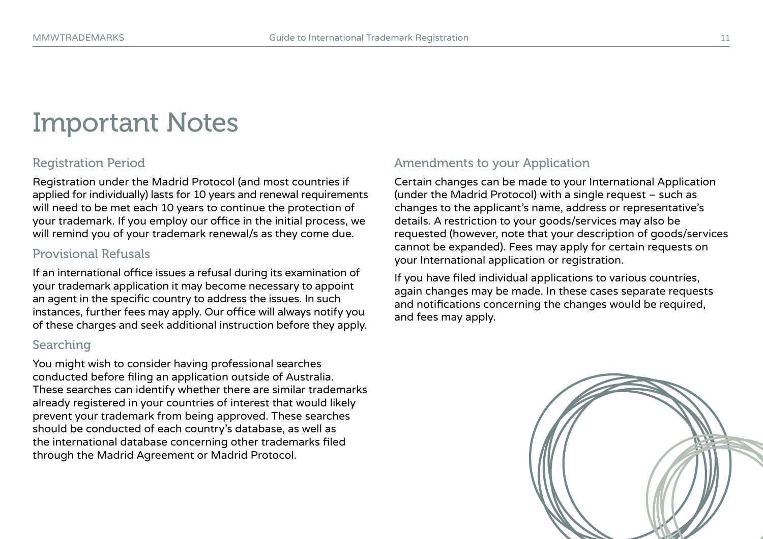### Important Notes

#### Registration Period

Registration under the Madrid Protocol (and most countries if applied for individually) lasts for 10 years and renewal requirements will need to be met each 10 years to continue the protection of your trademark. If you employ our office in the initial process, we will remind you of your trademark renewal/s as they come due.

#### Provisional Refusals

If an international office issues a refusal during its examination of your trademark application it may become necessary to appoint an agent in the specific country to address the issues. In such instances, further fees may apply. Our office will always notify you of these charges and seek additional instruction before they apply.

#### Searching

You might wish to consider having professional searches conducted before filing an application outside of Australia. These searches can identify whether there are similar trademarks already registered in your countries of interest that would likely prevent your trademark from being approved. These searches should be conducted of each country's database, as well as the international database concerning other trademarks filed through the Madrid Agreement or Madrid Protocol.

#### Amendments to your Application

Certain changes can be made to your International Application (under the Madrid Protocol) with a single request – such as changes to the applicant's name, address or representative's details. A restriction to your goods/services may also be requested (however, note that your description of goods/services cannot be expanded). Fees may apply for certain requests on your International application or registration.

If you have filed individual applications to various countries, again changes may be made. In these cases separate requests and notifications concerning the changes would be required, and fees may apply.